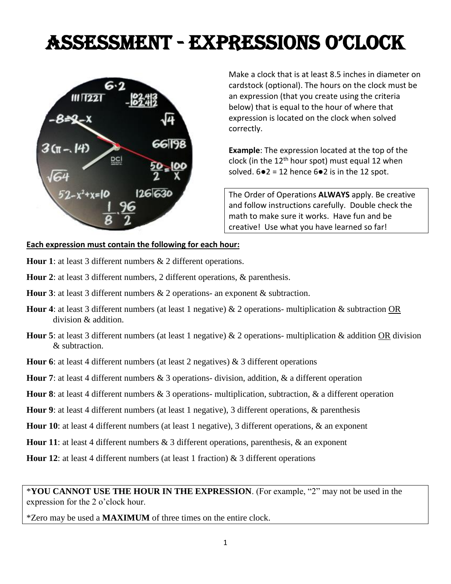## Assessment - ExprEssions o'CloCk



Make a clock that is at least 8.5 inches in diameter on cardstock (optional). The hours on the clock must be an expression (that you create using the criteria below) that is equal to the hour of where that expression is located on the clock when solved correctly.

**Example**: The expression located at the top of the clock (in the  $12<sup>th</sup>$  hour spot) must equal 12 when solved.  $6 \cdot 2 = 12$  hence  $6 \cdot 2$  is in the 12 spot.

The Order of Operations **ALWAYS** apply. Be creative and follow instructions carefully. Double check the math to make sure it works. Have fun and be creative! Use what you have learned so far!

## **Each expression must contain the following for each hour:**

- **Hour 1**: at least 3 different numbers & 2 different operations.
- **Hour 2**: at least 3 different numbers, 2 different operations, & parenthesis.
- **Hour 3**: at least 3 different numbers & 2 operations- an exponent & subtraction.
- **Hour 4**: at least 3 different numbers (at least 1 negative) & 2 operations- multiplication & subtraction OR division & addition.
- **Hour 5**: at least 3 different numbers (at least 1 negative) & 2 operations- multiplication & addition OR division & subtraction.
- **Hour 6**: at least 4 different numbers (at least 2 negatives) & 3 different operations
- **Hour 7**: at least 4 different numbers & 3 operations- division, addition, & a different operation
- **Hour 8**: at least 4 different numbers & 3 operations- multiplication, subtraction, & a different operation
- **Hour 9**: at least 4 different numbers (at least 1 negative), 3 different operations, & parenthesis
- **Hour 10**: at least 4 different numbers (at least 1 negative), 3 different operations, & an exponent
- **Hour 11**: at least 4 different numbers & 3 different operations, parenthesis, & an exponent
- **Hour 12:** at least 4 different numbers (at least 1 fraction) & 3 different operations

\*Zero may be used a **MAXIMUM** of three times on the entire clock.

<sup>\*</sup>**YOU CANNOT USE THE HOUR IN THE EXPRESSION**. (For example, "2" may not be used in the expression for the 2 o'clock hour.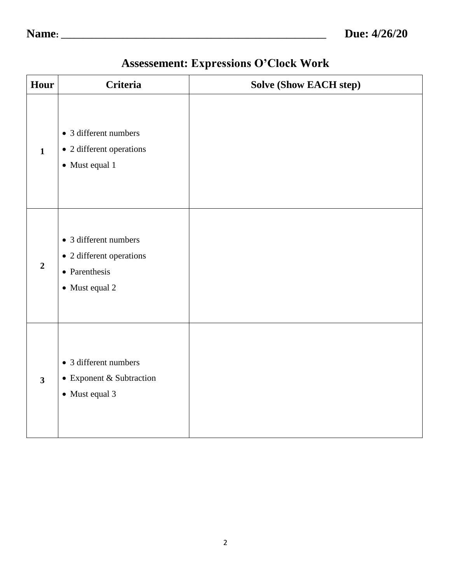| Hour                    | <b>Criteria</b>                                                                      | <b>Solve (Show EACH step)</b> |
|-------------------------|--------------------------------------------------------------------------------------|-------------------------------|
| $\mathbf{1}$            | • 3 different numbers<br>• 2 different operations<br>• Must equal 1                  |                               |
| $\overline{2}$          | • 3 different numbers<br>• 2 different operations<br>• Parenthesis<br>• Must equal 2 |                               |
| $\overline{\mathbf{3}}$ | • 3 different numbers<br>• Exponent & Subtraction<br>• Must equal 3                  |                               |

## **Assessement: Expressions O'Clock Work**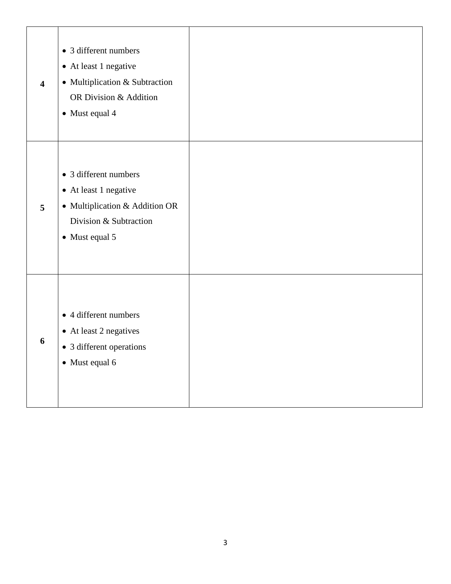| $\overline{\mathbf{4}}$ | • 3 different numbers<br>• At least 1 negative<br>• Multiplication & Subtraction<br>OR Division & Addition<br>• Must equal 4 |  |
|-------------------------|------------------------------------------------------------------------------------------------------------------------------|--|
| 5                       | • 3 different numbers<br>• At least 1 negative<br>• Multiplication & Addition OR<br>Division & Subtraction<br>• Must equal 5 |  |
| 6                       | • 4 different numbers<br>• At least 2 negatives<br>• 3 different operations<br>• Must equal 6                                |  |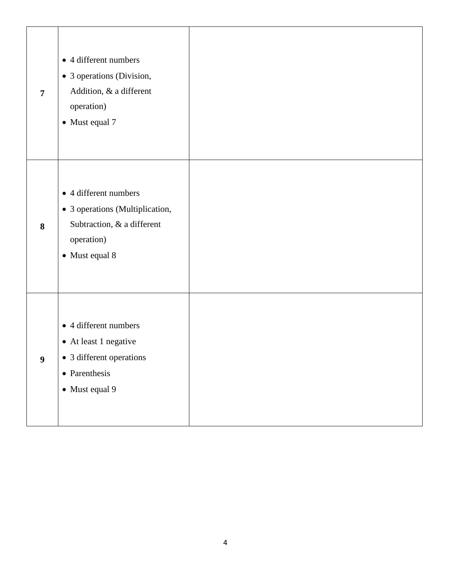| $\overline{7}$   | • 4 different numbers<br>• 3 operations (Division,<br>Addition, & a different<br>operation)<br>• Must equal 7          |  |
|------------------|------------------------------------------------------------------------------------------------------------------------|--|
| 8                | • 4 different numbers<br>• 3 operations (Multiplication,<br>Subtraction, & a different<br>operation)<br>• Must equal 8 |  |
| $\boldsymbol{9}$ | • 4 different numbers<br>• At least 1 negative<br>• 3 different operations<br>• Parenthesis<br>• Must equal 9          |  |